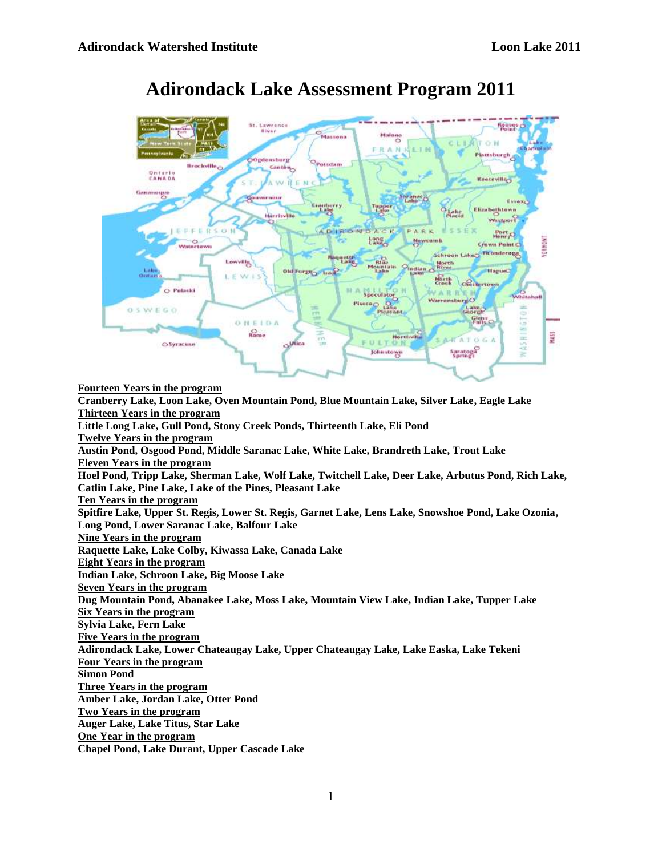

## **Adirondack Lake Assessment Program 2011**

**Fourteen Years in the program Cranberry Lake, Loon Lake, Oven Mountain Pond, Blue Mountain Lake, Silver Lake, Eagle Lake Thirteen Years in the program Little Long Lake, Gull Pond, Stony Creek Ponds, Thirteenth Lake, Eli Pond Twelve Years in the program Austin Pond, Osgood Pond, Middle Saranac Lake, White Lake, Brandreth Lake, Trout Lake Eleven Years in the program Hoel Pond, Tripp Lake, Sherman Lake, Wolf Lake, Twitchell Lake, Deer Lake, Arbutus Pond, Rich Lake, Catlin Lake, Pine Lake, Lake of the Pines, Pleasant Lake Ten Years in the program Spitfire Lake, Upper St. Regis, Lower St. Regis, Garnet Lake, Lens Lake, Snowshoe Pond, Lake Ozonia, Long Pond, Lower Saranac Lake, Balfour Lake Nine Years in the program Raquette Lake, Lake Colby, Kiwassa Lake, Canada Lake Eight Years in the program Indian Lake, Schroon Lake, Big Moose Lake Seven Years in the program Dug Mountain Pond, Abanakee Lake, Moss Lake, Mountain View Lake, Indian Lake, Tupper Lake Six Years in the program Sylvia Lake, Fern Lake Five Years in the program Adirondack Lake, Lower Chateaugay Lake, Upper Chateaugay Lake, Lake Easka, Lake Tekeni Four Years in the program Simon Pond Three Years in the program Amber Lake, Jordan Lake, Otter Pond Two Years in the program Auger Lake, Lake Titus, Star Lake One Year in the program Chapel Pond, Lake Durant, Upper Cascade Lake**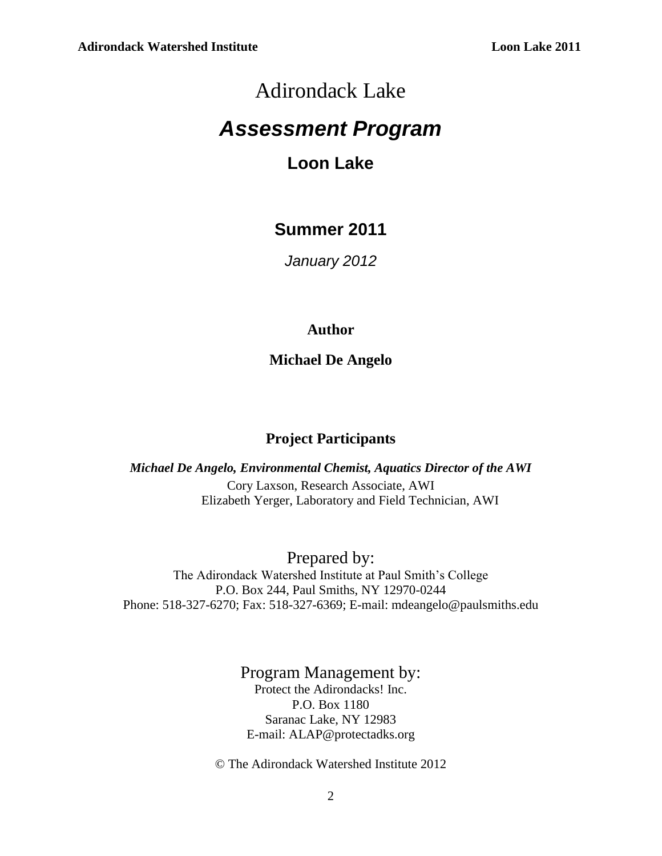## Adirondack Lake

## *Assessment Program*

## **Loon Lake**

## **Summer 2011**

*January 2012*

## **Author**

**Michael De Angelo**

## **Project Participants**

*Michael De Angelo, Environmental Chemist, Aquatics Director of the AWI* Cory Laxson, Research Associate, AWI Elizabeth Yerger, Laboratory and Field Technician, AWI

## Prepared by:

The Adirondack Watershed Institute at Paul Smith's College P.O. Box 244, Paul Smiths, NY 12970-0244 Phone: 518-327-6270; Fax: 518-327-6369; E-mail: mdeangelo@paulsmiths.edu

## Program Management by:

Protect the Adirondacks! Inc. P.O. Box 1180 Saranac Lake, NY 12983 E-mail: ALAP@protectadks.org

© The Adirondack Watershed Institute 2012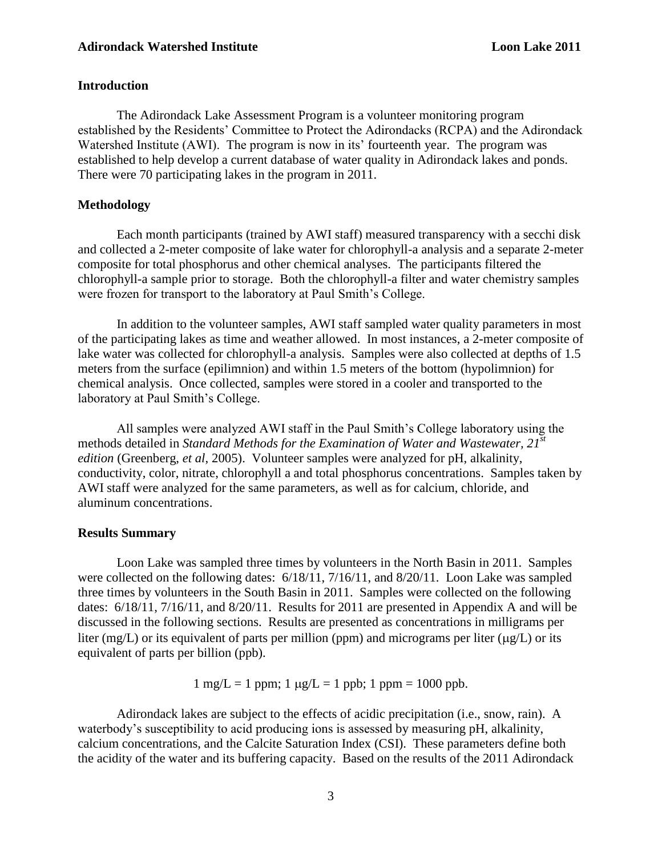#### **Introduction**

The Adirondack Lake Assessment Program is a volunteer monitoring program established by the Residents' Committee to Protect the Adirondacks (RCPA) and the Adirondack Watershed Institute (AWI). The program is now in its' fourteenth year. The program was established to help develop a current database of water quality in Adirondack lakes and ponds. There were 70 participating lakes in the program in 2011.

#### **Methodology**

Each month participants (trained by AWI staff) measured transparency with a secchi disk and collected a 2-meter composite of lake water for chlorophyll-a analysis and a separate 2-meter composite for total phosphorus and other chemical analyses. The participants filtered the chlorophyll-a sample prior to storage. Both the chlorophyll-a filter and water chemistry samples were frozen for transport to the laboratory at Paul Smith's College.

In addition to the volunteer samples, AWI staff sampled water quality parameters in most of the participating lakes as time and weather allowed. In most instances, a 2-meter composite of lake water was collected for chlorophyll-a analysis. Samples were also collected at depths of 1.5 meters from the surface (epilimnion) and within 1.5 meters of the bottom (hypolimnion) for chemical analysis. Once collected, samples were stored in a cooler and transported to the laboratory at Paul Smith's College.

All samples were analyzed AWI staff in the Paul Smith's College laboratory using the methods detailed in *Standard Methods for the Examination of Water and Wastewater, 21 st edition* (Greenberg, *et al*, 2005). Volunteer samples were analyzed for pH, alkalinity, conductivity, color, nitrate, chlorophyll a and total phosphorus concentrations. Samples taken by AWI staff were analyzed for the same parameters, as well as for calcium, chloride, and aluminum concentrations.

#### **Results Summary**

Loon Lake was sampled three times by volunteers in the North Basin in 2011. Samples were collected on the following dates: 6/18/11, 7/16/11, and 8/20/11. Loon Lake was sampled three times by volunteers in the South Basin in 2011. Samples were collected on the following dates: 6/18/11, 7/16/11, and 8/20/11. Results for 2011 are presented in Appendix A and will be discussed in the following sections. Results are presented as concentrations in milligrams per liter (mg/L) or its equivalent of parts per million (ppm) and micrograms per liter ( $\mu$ g/L) or its equivalent of parts per billion (ppb).

 $1 \text{ mg/L} = 1 \text{ ppm}; 1 \text{ µg/L} = 1 \text{ ppb}; 1 \text{ ppm} = 1000 \text{ ppb}.$ 

Adirondack lakes are subject to the effects of acidic precipitation (i.e., snow, rain). A waterbody's susceptibility to acid producing ions is assessed by measuring pH, alkalinity, calcium concentrations, and the Calcite Saturation Index (CSI). These parameters define both the acidity of the water and its buffering capacity. Based on the results of the 2011 Adirondack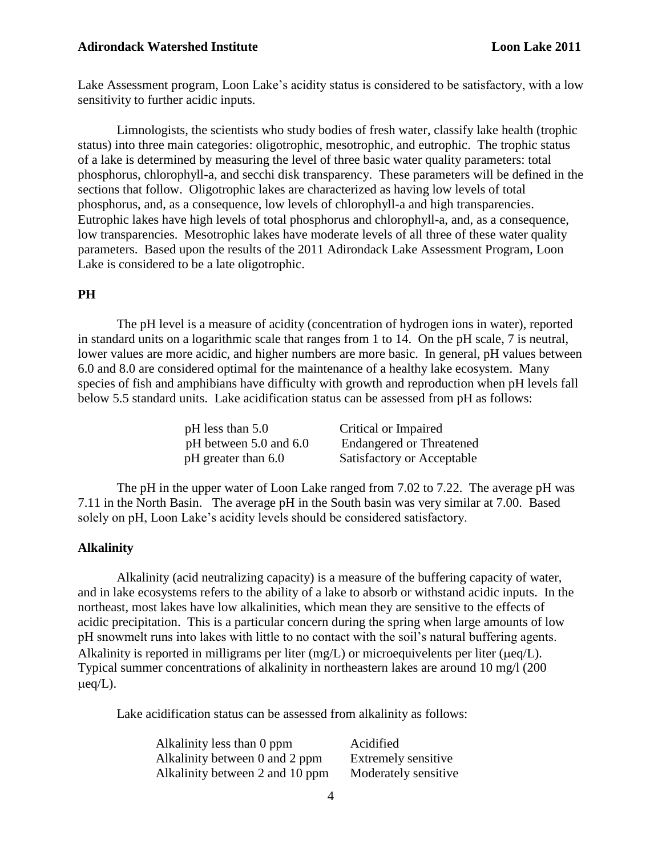Lake Assessment program, Loon Lake's acidity status is considered to be satisfactory, with a low sensitivity to further acidic inputs.

Limnologists, the scientists who study bodies of fresh water, classify lake health (trophic status) into three main categories: oligotrophic, mesotrophic, and eutrophic. The trophic status of a lake is determined by measuring the level of three basic water quality parameters: total phosphorus, chlorophyll-a, and secchi disk transparency. These parameters will be defined in the sections that follow. Oligotrophic lakes are characterized as having low levels of total phosphorus, and, as a consequence, low levels of chlorophyll-a and high transparencies. Eutrophic lakes have high levels of total phosphorus and chlorophyll-a, and, as a consequence, low transparencies. Mesotrophic lakes have moderate levels of all three of these water quality parameters. Based upon the results of the 2011 Adirondack Lake Assessment Program, Loon Lake is considered to be a late oligotrophic.

#### **PH**

The pH level is a measure of acidity (concentration of hydrogen ions in water), reported in standard units on a logarithmic scale that ranges from 1 to 14. On the pH scale, 7 is neutral, lower values are more acidic, and higher numbers are more basic. In general, pH values between 6.0 and 8.0 are considered optimal for the maintenance of a healthy lake ecosystem. Many species of fish and amphibians have difficulty with growth and reproduction when pH levels fall below 5.5 standard units. Lake acidification status can be assessed from pH as follows:

| $pH$ less than 5.0       | Critical or Impaired            |
|--------------------------|---------------------------------|
| $pH$ between 5.0 and 6.0 | <b>Endangered or Threatened</b> |
| pH greater than 6.0      | Satisfactory or Acceptable      |

The pH in the upper water of Loon Lake ranged from 7.02 to 7.22. The average pH was 7.11 in the North Basin. The average pH in the South basin was very similar at 7.00. Based solely on pH, Loon Lake's acidity levels should be considered satisfactory.

#### **Alkalinity**

Alkalinity (acid neutralizing capacity) is a measure of the buffering capacity of water, and in lake ecosystems refers to the ability of a lake to absorb or withstand acidic inputs. In the northeast, most lakes have low alkalinities, which mean they are sensitive to the effects of acidic precipitation. This is a particular concern during the spring when large amounts of low pH snowmelt runs into lakes with little to no contact with the soil's natural buffering agents. Alkalinity is reported in milligrams per liter  $(mg/L)$  or microequivelents per liter ( $\mu$ eq/L). Typical summer concentrations of alkalinity in northeastern lakes are around 10 mg/l (200  $\mu$ eq/L).

Lake acidification status can be assessed from alkalinity as follows:

| Alkalinity less than 0 ppm      |  |
|---------------------------------|--|
| Alkalinity between 0 and 2 ppm  |  |
| Alkalinity between 2 and 10 ppm |  |

Acidified Extremely sensitive Moderately sensitive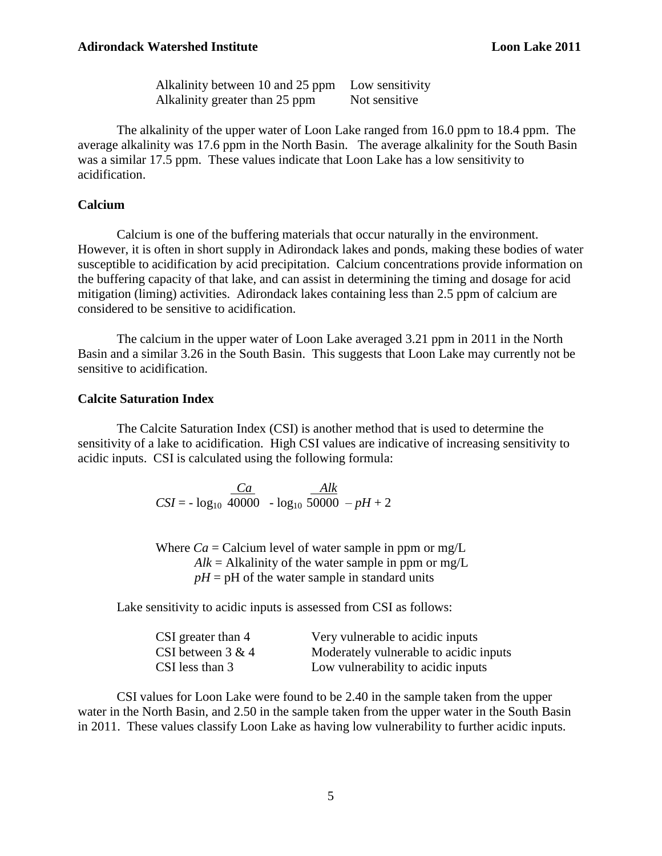Alkalinity between 10 and 25 ppm Low sensitivity Alkalinity greater than 25 ppm Not sensitive

The alkalinity of the upper water of Loon Lake ranged from 16.0 ppm to 18.4 ppm. The average alkalinity was 17.6 ppm in the North Basin. The average alkalinity for the South Basin was a similar 17.5 ppm. These values indicate that Loon Lake has a low sensitivity to acidification.

#### **Calcium**

Calcium is one of the buffering materials that occur naturally in the environment. However, it is often in short supply in Adirondack lakes and ponds, making these bodies of water susceptible to acidification by acid precipitation. Calcium concentrations provide information on the buffering capacity of that lake, and can assist in determining the timing and dosage for acid mitigation (liming) activities. Adirondack lakes containing less than 2.5 ppm of calcium are considered to be sensitive to acidification.

The calcium in the upper water of Loon Lake averaged 3.21 ppm in 2011 in the North Basin and a similar 3.26 in the South Basin. This suggests that Loon Lake may currently not be sensitive to acidification.

#### **Calcite Saturation Index**

The Calcite Saturation Index (CSI) is another method that is used to determine the sensitivity of a lake to acidification. High CSI values are indicative of increasing sensitivity to acidic inputs. CSI is calculated using the following formula:

> *Ca Alk*   $CSI = - log<sub>10</sub> 40000 - log<sub>10</sub> 50000 - pH + 2$

Where  $Ca = Ca$  calcium level of water sample in ppm or mg/L  $Alk = Alkalinity$  of the water sample in ppm or mg/L  $pH = pH$  of the water sample in standard units

Lake sensitivity to acidic inputs is assessed from CSI as follows:

| CSI greater than 4   | Very vulnerable to acidic inputs       |
|----------------------|----------------------------------------|
| CSI between $3 \& 4$ | Moderately vulnerable to acidic inputs |
| CSI less than 3      | Low vulnerability to acidic inputs     |

 CSI values for Loon Lake were found to be 2.40 in the sample taken from the upper water in the North Basin, and 2.50 in the sample taken from the upper water in the South Basin in 2011. These values classify Loon Lake as having low vulnerability to further acidic inputs.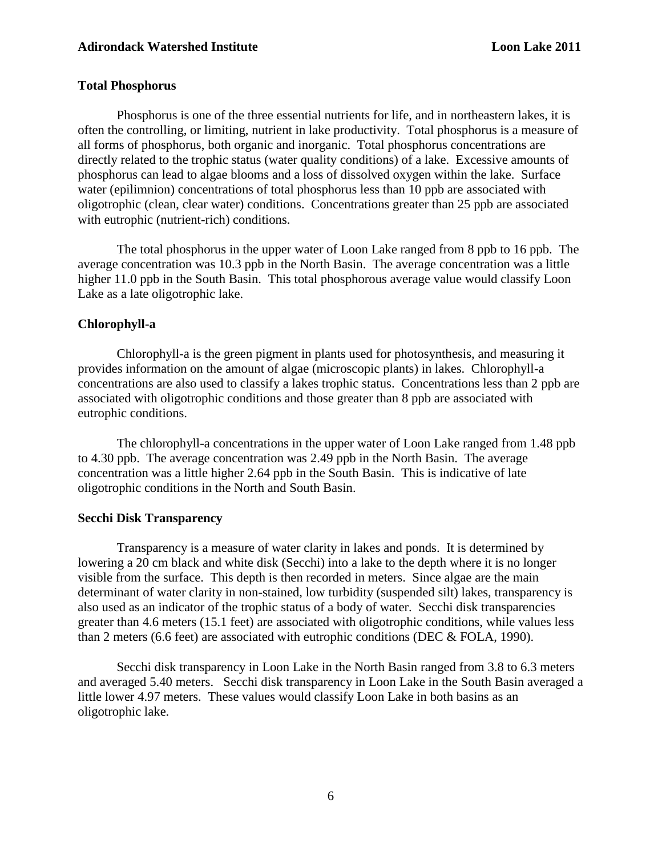#### **Total Phosphorus**

Phosphorus is one of the three essential nutrients for life, and in northeastern lakes, it is often the controlling, or limiting, nutrient in lake productivity. Total phosphorus is a measure of all forms of phosphorus, both organic and inorganic. Total phosphorus concentrations are directly related to the trophic status (water quality conditions) of a lake. Excessive amounts of phosphorus can lead to algae blooms and a loss of dissolved oxygen within the lake. Surface water (epilimnion) concentrations of total phosphorus less than 10 ppb are associated with oligotrophic (clean, clear water) conditions. Concentrations greater than 25 ppb are associated with eutrophic (nutrient-rich) conditions.

The total phosphorus in the upper water of Loon Lake ranged from 8 ppb to 16 ppb. The average concentration was 10.3 ppb in the North Basin. The average concentration was a little higher 11.0 ppb in the South Basin. This total phosphorous average value would classify Loon Lake as a late oligotrophic lake.

#### **Chlorophyll-a**

Chlorophyll-a is the green pigment in plants used for photosynthesis, and measuring it provides information on the amount of algae (microscopic plants) in lakes. Chlorophyll-a concentrations are also used to classify a lakes trophic status. Concentrations less than 2 ppb are associated with oligotrophic conditions and those greater than 8 ppb are associated with eutrophic conditions.

The chlorophyll-a concentrations in the upper water of Loon Lake ranged from 1.48 ppb to 4.30 ppb. The average concentration was 2.49 ppb in the North Basin. The average concentration was a little higher 2.64 ppb in the South Basin. This is indicative of late oligotrophic conditions in the North and South Basin.

#### **Secchi Disk Transparency**

Transparency is a measure of water clarity in lakes and ponds. It is determined by lowering a 20 cm black and white disk (Secchi) into a lake to the depth where it is no longer visible from the surface. This depth is then recorded in meters. Since algae are the main determinant of water clarity in non-stained, low turbidity (suspended silt) lakes, transparency is also used as an indicator of the trophic status of a body of water. Secchi disk transparencies greater than 4.6 meters (15.1 feet) are associated with oligotrophic conditions, while values less than 2 meters (6.6 feet) are associated with eutrophic conditions (DEC & FOLA, 1990).

Secchi disk transparency in Loon Lake in the North Basin ranged from 3.8 to 6.3 meters and averaged 5.40 meters. Secchi disk transparency in Loon Lake in the South Basin averaged a little lower 4.97 meters. These values would classify Loon Lake in both basins as an oligotrophic lake.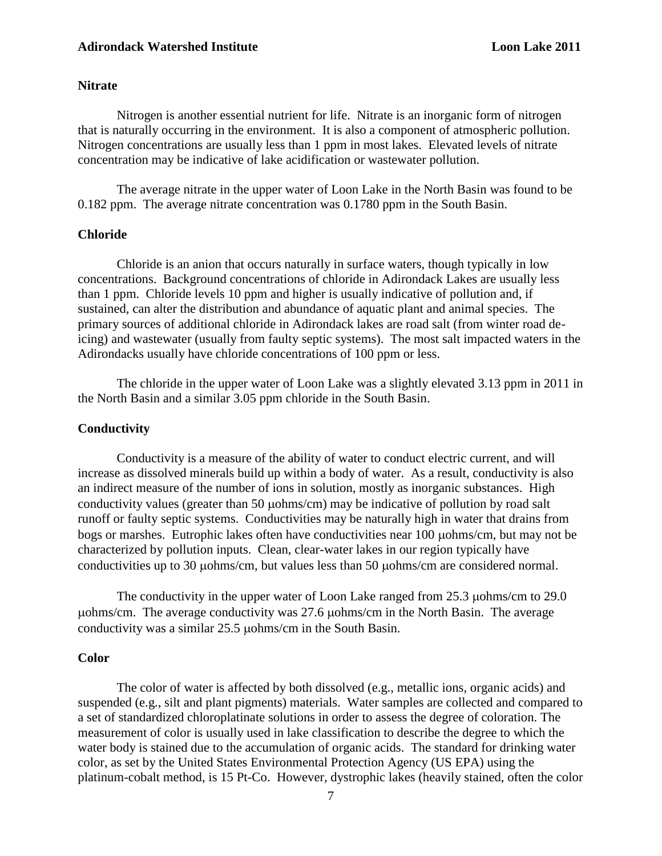#### **Nitrate**

Nitrogen is another essential nutrient for life. Nitrate is an inorganic form of nitrogen that is naturally occurring in the environment. It is also a component of atmospheric pollution. Nitrogen concentrations are usually less than 1 ppm in most lakes. Elevated levels of nitrate concentration may be indicative of lake acidification or wastewater pollution.

The average nitrate in the upper water of Loon Lake in the North Basin was found to be 0.182 ppm. The average nitrate concentration was 0.1780 ppm in the South Basin.

#### **Chloride**

Chloride is an anion that occurs naturally in surface waters, though typically in low concentrations. Background concentrations of chloride in Adirondack Lakes are usually less than 1 ppm. Chloride levels 10 ppm and higher is usually indicative of pollution and, if sustained, can alter the distribution and abundance of aquatic plant and animal species. The primary sources of additional chloride in Adirondack lakes are road salt (from winter road deicing) and wastewater (usually from faulty septic systems). The most salt impacted waters in the Adirondacks usually have chloride concentrations of 100 ppm or less.

The chloride in the upper water of Loon Lake was a slightly elevated 3.13 ppm in 2011 in the North Basin and a similar 3.05 ppm chloride in the South Basin.

#### **Conductivity**

Conductivity is a measure of the ability of water to conduct electric current, and will increase as dissolved minerals build up within a body of water. As a result, conductivity is also an indirect measure of the number of ions in solution, mostly as inorganic substances. High conductivity values (greater than 50  $\mu$ ohms/cm) may be indicative of pollution by road salt runoff or faulty septic systems. Conductivities may be naturally high in water that drains from bogs or marshes. Eutrophic lakes often have conductivities near 100  $\mu$ ohms/cm, but may not be characterized by pollution inputs. Clean, clear-water lakes in our region typically have conductivities up to 30 µohms/cm, but values less than 50 µohms/cm are considered normal.

The conductivity in the upper water of Loon Lake ranged from  $25.3 \mu ohms/cm$  to  $29.0 \mu ohms/cm$  $\mu$ ohms/cm. The average conductivity was 27.6  $\mu$ ohms/cm in the North Basin. The average conductivity was a similar 25.5 µohms/cm in the South Basin.

#### **Color**

The color of water is affected by both dissolved (e.g., metallic ions, organic acids) and suspended (e.g., silt and plant pigments) materials. Water samples are collected and compared to a set of standardized chloroplatinate solutions in order to assess the degree of coloration. The measurement of color is usually used in lake classification to describe the degree to which the water body is stained due to the accumulation of organic acids. The standard for drinking water color, as set by the United States Environmental Protection Agency (US EPA) using the platinum-cobalt method, is 15 Pt-Co. However, dystrophic lakes (heavily stained, often the color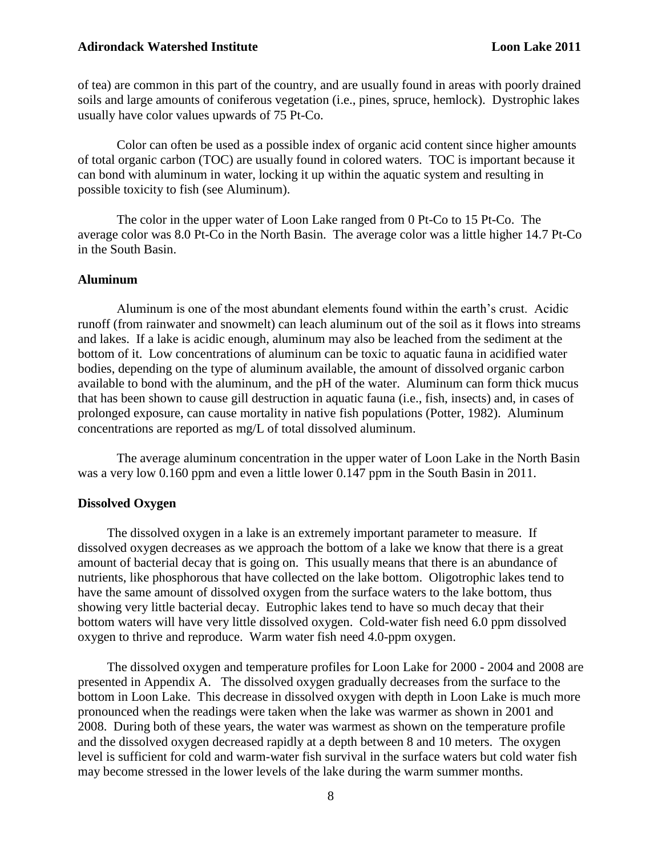of tea) are common in this part of the country, and are usually found in areas with poorly drained soils and large amounts of coniferous vegetation (i.e., pines, spruce, hemlock). Dystrophic lakes usually have color values upwards of 75 Pt-Co.

Color can often be used as a possible index of organic acid content since higher amounts of total organic carbon (TOC) are usually found in colored waters. TOC is important because it can bond with aluminum in water, locking it up within the aquatic system and resulting in possible toxicity to fish (see Aluminum).

The color in the upper water of Loon Lake ranged from 0 Pt-Co to 15 Pt-Co. The average color was 8.0 Pt-Co in the North Basin. The average color was a little higher 14.7 Pt-Co in the South Basin.

#### **Aluminum**

Aluminum is one of the most abundant elements found within the earth's crust. Acidic runoff (from rainwater and snowmelt) can leach aluminum out of the soil as it flows into streams and lakes. If a lake is acidic enough, aluminum may also be leached from the sediment at the bottom of it. Low concentrations of aluminum can be toxic to aquatic fauna in acidified water bodies, depending on the type of aluminum available, the amount of dissolved organic carbon available to bond with the aluminum, and the pH of the water. Aluminum can form thick mucus that has been shown to cause gill destruction in aquatic fauna (i.e., fish, insects) and, in cases of prolonged exposure, can cause mortality in native fish populations (Potter, 1982). Aluminum concentrations are reported as mg/L of total dissolved aluminum.

The average aluminum concentration in the upper water of Loon Lake in the North Basin was a very low 0.160 ppm and even a little lower 0.147 ppm in the South Basin in 2011.

#### **Dissolved Oxygen**

 The dissolved oxygen in a lake is an extremely important parameter to measure. If dissolved oxygen decreases as we approach the bottom of a lake we know that there is a great amount of bacterial decay that is going on. This usually means that there is an abundance of nutrients, like phosphorous that have collected on the lake bottom. Oligotrophic lakes tend to have the same amount of dissolved oxygen from the surface waters to the lake bottom, thus showing very little bacterial decay. Eutrophic lakes tend to have so much decay that their bottom waters will have very little dissolved oxygen. Cold-water fish need 6.0 ppm dissolved oxygen to thrive and reproduce. Warm water fish need 4.0-ppm oxygen.

 The dissolved oxygen and temperature profiles for Loon Lake for 2000 - 2004 and 2008 are presented in Appendix A. The dissolved oxygen gradually decreases from the surface to the bottom in Loon Lake. This decrease in dissolved oxygen with depth in Loon Lake is much more pronounced when the readings were taken when the lake was warmer as shown in 2001 and 2008. During both of these years, the water was warmest as shown on the temperature profile and the dissolved oxygen decreased rapidly at a depth between 8 and 10 meters. The oxygen level is sufficient for cold and warm-water fish survival in the surface waters but cold water fish may become stressed in the lower levels of the lake during the warm summer months.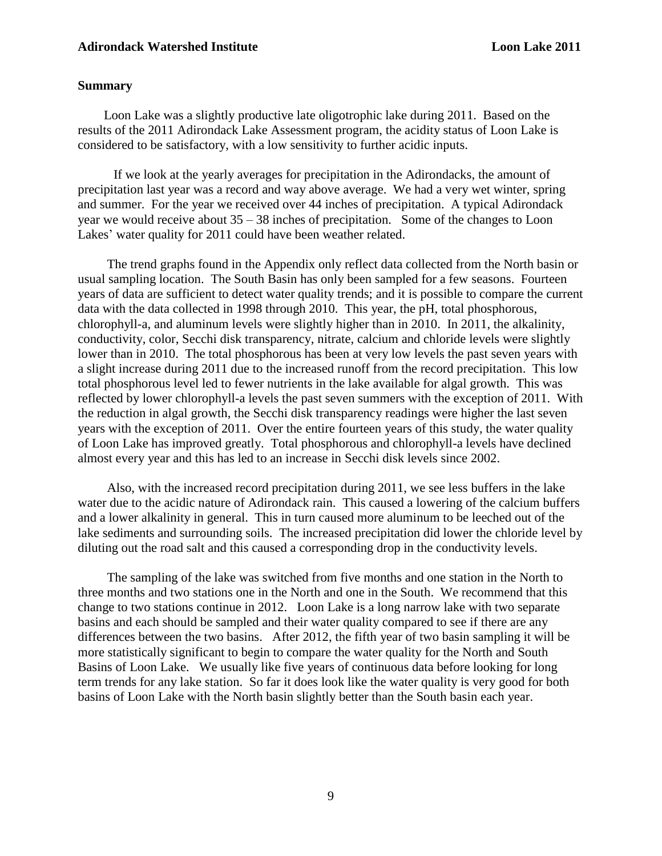#### **Summary**

 Loon Lake was a slightly productive late oligotrophic lake during 2011. Based on the results of the 2011 Adirondack Lake Assessment program, the acidity status of Loon Lake is considered to be satisfactory, with a low sensitivity to further acidic inputs.

 If we look at the yearly averages for precipitation in the Adirondacks, the amount of precipitation last year was a record and way above average. We had a very wet winter, spring and summer. For the year we received over 44 inches of precipitation. A typical Adirondack year we would receive about 35 – 38 inches of precipitation. Some of the changes to Loon Lakes' water quality for 2011 could have been weather related.

 The trend graphs found in the Appendix only reflect data collected from the North basin or usual sampling location. The South Basin has only been sampled for a few seasons. Fourteen years of data are sufficient to detect water quality trends; and it is possible to compare the current data with the data collected in 1998 through 2010. This year, the pH, total phosphorous, chlorophyll-a, and aluminum levels were slightly higher than in 2010. In 2011, the alkalinity, conductivity, color, Secchi disk transparency, nitrate, calcium and chloride levels were slightly lower than in 2010. The total phosphorous has been at very low levels the past seven years with a slight increase during 2011 due to the increased runoff from the record precipitation. This low total phosphorous level led to fewer nutrients in the lake available for algal growth. This was reflected by lower chlorophyll-a levels the past seven summers with the exception of 2011. With the reduction in algal growth, the Secchi disk transparency readings were higher the last seven years with the exception of 2011. Over the entire fourteen years of this study, the water quality of Loon Lake has improved greatly. Total phosphorous and chlorophyll-a levels have declined almost every year and this has led to an increase in Secchi disk levels since 2002.

 Also, with the increased record precipitation during 2011, we see less buffers in the lake water due to the acidic nature of Adirondack rain. This caused a lowering of the calcium buffers and a lower alkalinity in general. This in turn caused more aluminum to be leeched out of the lake sediments and surrounding soils. The increased precipitation did lower the chloride level by diluting out the road salt and this caused a corresponding drop in the conductivity levels.

 The sampling of the lake was switched from five months and one station in the North to three months and two stations one in the North and one in the South. We recommend that this change to two stations continue in 2012. Loon Lake is a long narrow lake with two separate basins and each should be sampled and their water quality compared to see if there are any differences between the two basins. After 2012, the fifth year of two basin sampling it will be more statistically significant to begin to compare the water quality for the North and South Basins of Loon Lake. We usually like five years of continuous data before looking for long term trends for any lake station. So far it does look like the water quality is very good for both basins of Loon Lake with the North basin slightly better than the South basin each year.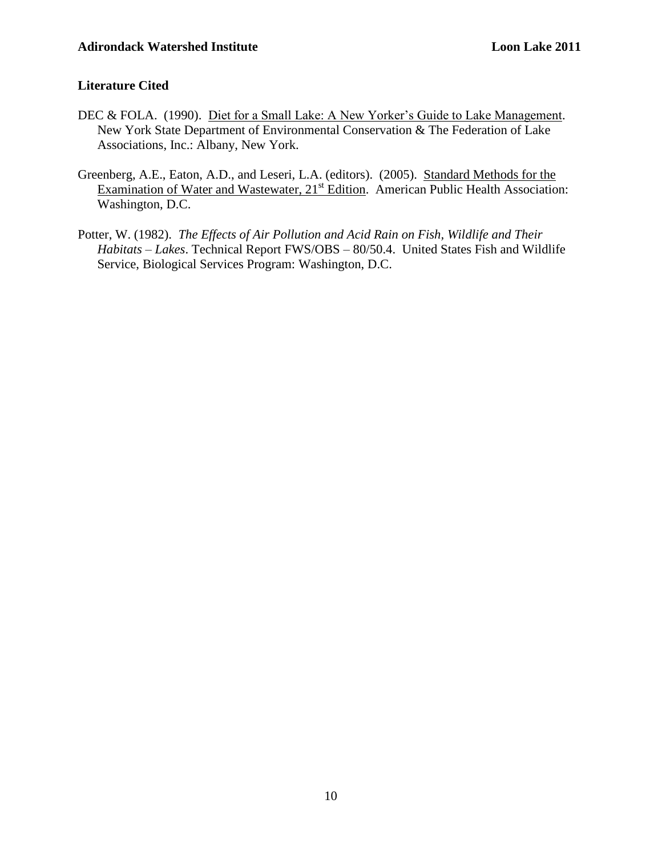### **Literature Cited**

- DEC & FOLA. (1990). Diet for a Small Lake: A New Yorker's Guide to Lake Management. New York State Department of Environmental Conservation & The Federation of Lake Associations, Inc.: Albany, New York.
- Greenberg, A.E., Eaton, A.D., and Leseri, L.A. (editors). (2005). Standard Methods for the Examination of Water and Wastewater, 21<sup>st</sup> Edition. American Public Health Association: Washington, D.C.
- Potter, W. (1982). *The Effects of Air Pollution and Acid Rain on Fish, Wildlife and Their Habitats – Lakes*. Technical Report FWS/OBS – 80/50.4. United States Fish and Wildlife Service, Biological Services Program: Washington, D.C.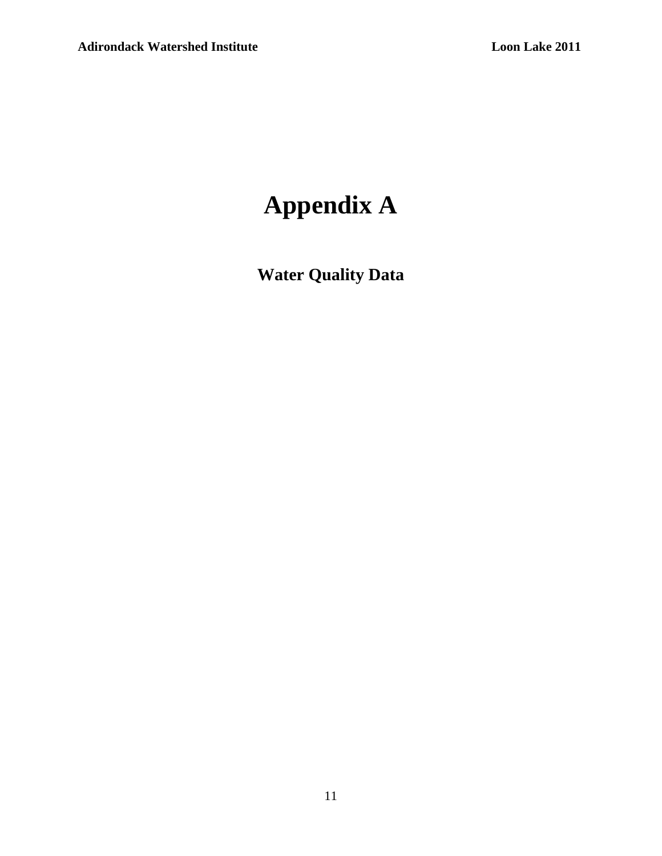# **Appendix A**

**Water Quality Data**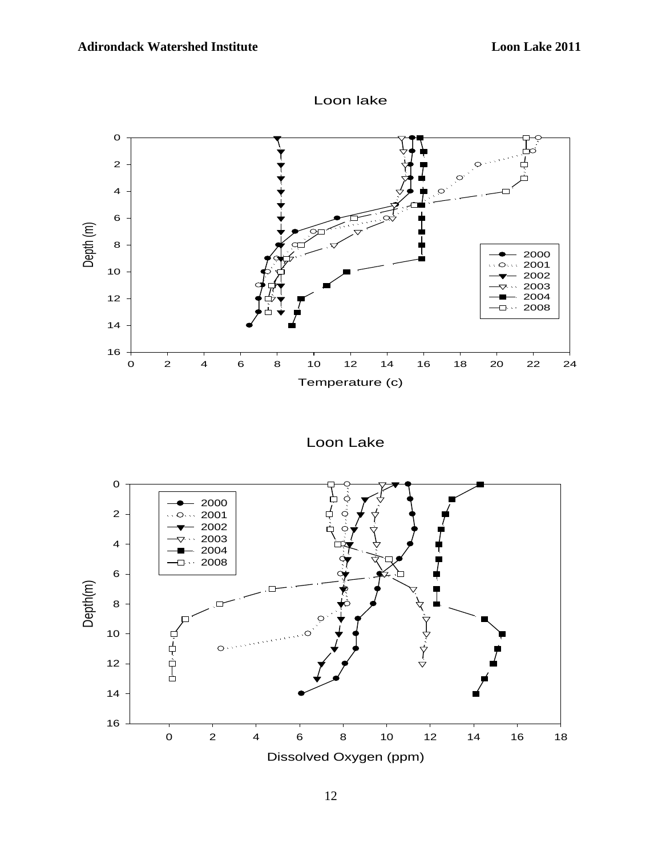



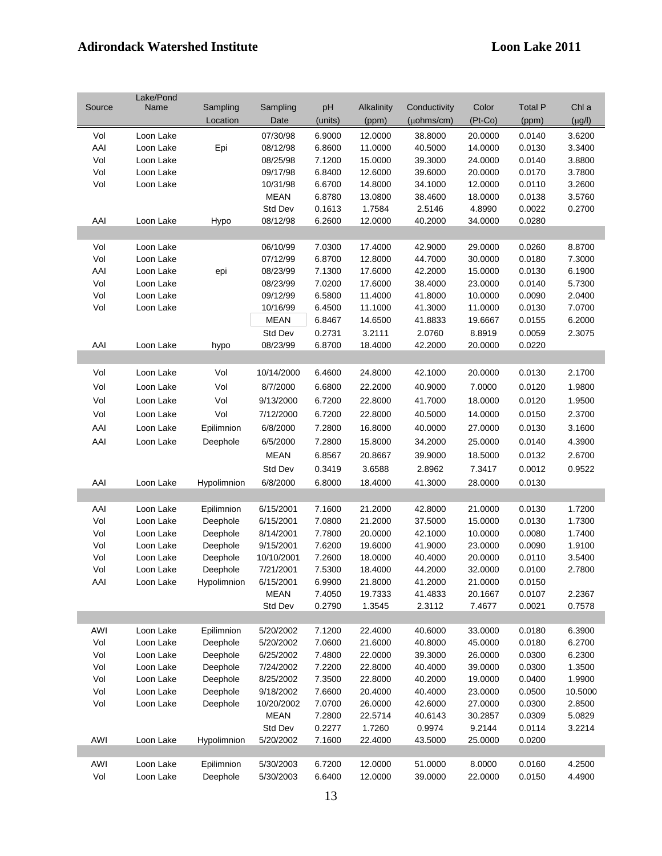|        | Lake/Pond |             |             |                  |            |                 |           |                |             |
|--------|-----------|-------------|-------------|------------------|------------|-----------------|-----------|----------------|-------------|
| Source | Name      | Sampling    | Sampling    | pH               | Alkalinity | Conductivity    | Color     | <b>Total P</b> | Chl a       |
|        |           | Location    | Date        | (units)          | (ppm)      | $(\mu$ ohms/cm) | $(Pt-Co)$ | (ppm)          | $(\mu g/I)$ |
| Vol    | Loon Lake |             | 07/30/98    | 6.9000           | 12.0000    | 38.8000         | 20.0000   | 0.0140         | 3.6200      |
| AAI    | Loon Lake | Epi         | 08/12/98    | 6.8600           | 11.0000    | 40.5000         | 14.0000   | 0.0130         | 3.3400      |
| Vol    | Loon Lake |             | 08/25/98    | 7.1200           | 15.0000    | 39.3000         | 24.0000   | 0.0140         | 3.8800      |
| Vol    | Loon Lake |             | 09/17/98    | 6.8400           | 12.6000    | 39.6000         | 20.0000   | 0.0170         | 3.7800      |
| Vol    | Loon Lake |             | 10/31/98    | 6.6700           | 14.8000    | 34.1000         | 12.0000   | 0.0110         | 3.2600      |
|        |           |             | MEAN        | 6.8780           | 13.0800    | 38.4600         | 18.0000   | 0.0138         | 3.5760      |
|        |           |             | Std Dev     | 0.1613           | 1.7584     | 2.5146          | 4.8990    | 0.0022         | 0.2700      |
| AAI    | Loon Lake | Hypo        | 08/12/98    | 6.2600           | 12.0000    | 40.2000         | 34.0000   | 0.0280         |             |
|        |           |             |             |                  |            |                 |           |                |             |
| Vol    | Loon Lake |             | 06/10/99    | 7.0300           | 17.4000    | 42.9000         | 29.0000   | 0.0260         | 8.8700      |
| Vol    | Loon Lake |             | 07/12/99    | 6.8700           | 12.8000    | 44.7000         | 30.0000   | 0.0180         | 7.3000      |
| AAI    | Loon Lake | epi         | 08/23/99    | 7.1300           | 17.6000    | 42.2000         | 15.0000   | 0.0130         | 6.1900      |
| Vol    | Loon Lake |             | 08/23/99    | 7.0200           | 17.6000    | 38.4000         | 23.0000   | 0.0140         | 5.7300      |
| Vol    | Loon Lake |             | 09/12/99    | 6.5800           | 11.4000    | 41.8000         | 10.0000   | 0.0090         | 2.0400      |
| Vol    | Loon Lake |             | 10/16/99    | 6.4500           | 11.1000    | 41.3000         | 11.0000   | 0.0130         | 7.0700      |
|        |           |             | <b>MEAN</b> | 6.8467           | 14.6500    | 41.8833         | 19.6667   | 0.0155         | 6.2000      |
|        |           |             |             |                  |            |                 |           |                |             |
|        |           |             | Std Dev     | 0.2731           | 3.2111     | 2.0760          | 8.8919    | 0.0059         | 2.3075      |
| AAI    | Loon Lake | hypo        | 08/23/99    | 6.8700           | 18.4000    | 42.2000         | 20.0000   | 0.0220         |             |
|        |           |             |             |                  |            |                 |           | 0.0130         |             |
| Vol    | Loon Lake | Vol         | 10/14/2000  | 6.4600           | 24.8000    | 42.1000         | 20.0000   |                | 2.1700      |
| Vol    | Loon Lake | Vol         | 8/7/2000    | 6.6800           | 22.2000    | 40.9000         | 7.0000    | 0.0120         | 1.9800      |
| Vol    | Loon Lake | Vol         | 9/13/2000   | 6.7200           | 22.8000    | 41.7000         | 18.0000   | 0.0120         | 1.9500      |
| Vol    | Loon Lake | Vol         | 7/12/2000   | 6.7200           | 22.8000    | 40.5000         | 14.0000   | 0.0150         | 2.3700      |
| AAI    | Loon Lake | Epilimnion  | 6/8/2000    | 7.2800           | 16.8000    | 40.0000         | 27.0000   | 0.0130         | 3.1600      |
| AAI    | Loon Lake | Deephole    | 6/5/2000    | 7.2800           | 15.8000    | 34.2000         | 25.0000   | 0.0140         | 4.3900      |
|        |           |             | <b>MEAN</b> | 6.8567           | 20.8667    | 39.9000         | 18.5000   | 0.0132         | 2.6700      |
|        |           |             |             |                  |            |                 |           |                |             |
|        |           |             | Std Dev     | 0.3419           | 3.6588     | 2.8962          | 7.3417    | 0.0012         | 0.9522      |
| AAI    | Loon Lake | Hypolimnion | 6/8/2000    | 6.8000           | 18.4000    | 41.3000         | 28.0000   | 0.0130         |             |
|        |           |             |             |                  |            |                 |           |                |             |
| AAI    | Loon Lake | Epilimnion  | 6/15/2001   | 7.1600           | 21.2000    | 42.8000         | 21.0000   | 0.0130         | 1.7200      |
| Vol    | Loon Lake | Deephole    | 6/15/2001   | 7.0800           | 21.2000    | 37.5000         | 15.0000   | 0.0130         | 1.7300      |
| Vol    | Loon Lake | Deephole    | 8/14/2001   | 7.7800           | 20.0000    | 42.1000         | 10.0000   | 0.0080         | 1.7400      |
| Vol    | Loon Lake | Deephole    | 9/15/2001   | 7.6200           | 19.6000    | 41.9000         | 23.0000   | 0.0090         | 1.9100      |
| Vol    | Loon Lake | Deephole    | 10/10/2001  | 7.2600           | 18.0000    | 40.4000         | 20.0000   | 0.0110         | 3.5400      |
| Vol    | Loon Lake | Deephole    | 7/21/2001   | 7.5300           | 18.4000    | 44.2000         | 32.0000   | 0.0100         | 2.7800      |
| AAI    | Loon Lake | Hypolimnion | 6/15/2001   | 6.9900           | 21.8000    | 41.2000         | 21.0000   | 0.0150         |             |
|        |           |             | <b>MEAN</b> | 7.4050           | 19.7333    | 41.4833         | 20.1667   | 0.0107         | 2.2367      |
|        |           |             | Std Dev     | 0.2790           | 1.3545     | 2.3112          | 7.4677    | 0.0021         | 0.7578      |
| AWI    | Loon Lake | Epilimnion  | 5/20/2002   | 7.1200           | 22.4000    | 40.6000         | 33.0000   | 0.0180         | 6.3900      |
| Vol    | Loon Lake | Deephole    | 5/20/2002   | 7.0600           | 21.6000    | 40.8000         | 45.0000   | 0.0180         | 6.2700      |
| Vol    | Loon Lake | Deephole    | 6/25/2002   | 7.4800           | 22.0000    | 39.3000         | 26.0000   | 0.0300         | 6.2300      |
| Vol    | Loon Lake | Deephole    | 7/24/2002   | 7.2200           | 22.8000    | 40.4000         | 39.0000   | 0.0300         | 1.3500      |
| Vol    | Loon Lake | Deephole    | 8/25/2002   | 7.3500           | 22.8000    | 40.2000         | 19.0000   | 0.0400         | 1.9900      |
| Vol    | Loon Lake | Deephole    | 9/18/2002   | 7.6600           | 20.4000    | 40.4000         | 23.0000   | 0.0500         | 10.5000     |
| Vol    |           |             | 10/20/2002  |                  | 26.0000    | 42.6000         | 27.0000   | 0.0300         | 2.8500      |
|        | Loon Lake | Deephole    | <b>MEAN</b> | 7.0700<br>7.2800 | 22.5714    | 40.6143         | 30.2857   | 0.0309         | 5.0829      |
|        |           |             |             |                  |            |                 |           |                |             |
|        |           |             | Std Dev     | 0.2277           | 1.7260     | 0.9974          | 9.2144    | 0.0114         | 3.2214      |
| AWI    | Loon Lake | Hypolimnion | 5/20/2002   | 7.1600           | 22.4000    | 43.5000         | 25.0000   | 0.0200         |             |
| AWI    | Loon Lake | Epilimnion  | 5/30/2003   | 6.7200           | 12.0000    | 51.0000         | 8.0000    | 0.0160         | 4.2500      |
| Vol    | Loon Lake | Deephole    | 5/30/2003   | 6.6400           | 12.0000    | 39.0000         | 22.0000   | 0.0150         | 4.4900      |
|        |           |             |             |                  |            |                 |           |                |             |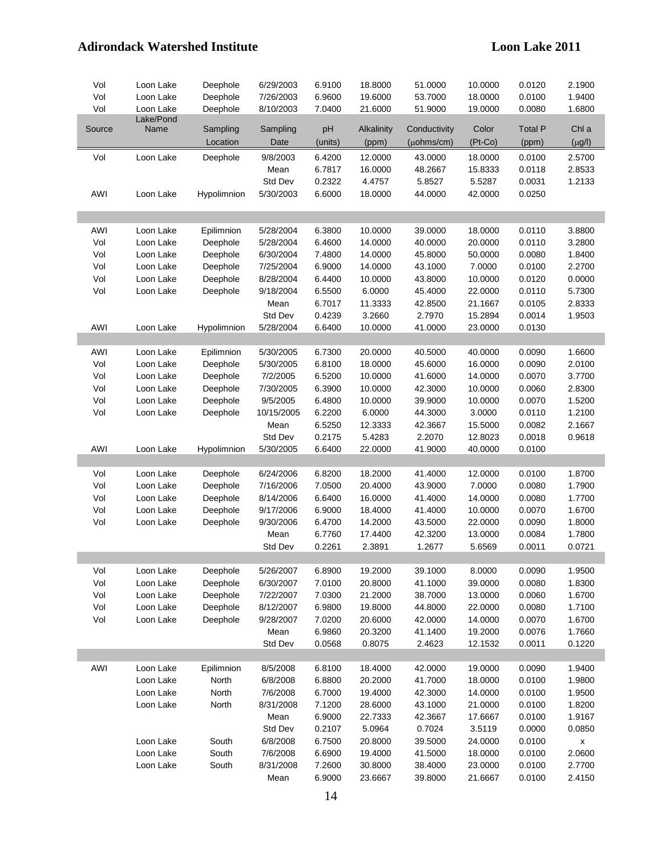| Vol    | Loon Lake | Deephole    | 6/29/2003  | 6.9100  | 18.8000    | 51.0000            | 10.0000   | 0.0120         | 2.1900      |
|--------|-----------|-------------|------------|---------|------------|--------------------|-----------|----------------|-------------|
| Vol    | Loon Lake | Deephole    | 7/26/2003  | 6.9600  | 19.6000    | 53.7000            | 18.0000   | 0.0100         | 1.9400      |
| Vol    | Loon Lake | Deephole    | 8/10/2003  | 7.0400  | 21.6000    | 51.9000            | 19.0000   | 0.0080         | 1.6800      |
|        | Lake/Pond |             |            |         |            |                    |           |                |             |
| Source | Name      | Sampling    | Sampling   | pH      | Alkalinity | Conductivity       | Color     | <b>Total P</b> | Chl a       |
|        |           | Location    | Date       | (units) | (ppm)      | $(\mu$ ohms/cm $)$ | $(Pt-Co)$ | (ppm)          | $(\mu g/I)$ |
| Vol    | Loon Lake | Deephole    | 9/8/2003   | 6.4200  | 12.0000    | 43.0000            | 18.0000   | 0.0100         | 2.5700      |
|        |           |             | Mean       | 6.7817  | 16.0000    | 48.2667            | 15.8333   | 0.0118         | 2.8533      |
|        |           |             |            |         |            |                    |           |                |             |
|        |           |             | Std Dev    | 0.2322  | 4.4757     | 5.8527             | 5.5287    | 0.0031         | 1.2133      |
| AWI    | Loon Lake | Hypolimnion | 5/30/2003  | 6.6000  | 18.0000    | 44.0000            | 42.0000   | 0.0250         |             |
|        |           |             |            |         |            |                    |           |                |             |
| AWI    | Loon Lake | Epilimnion  | 5/28/2004  | 6.3800  | 10.0000    | 39.0000            | 18.0000   | 0.0110         | 3.8800      |
| Vol    | Loon Lake | Deephole    | 5/28/2004  | 6.4600  | 14.0000    | 40.0000            | 20.0000   | 0.0110         | 3.2800      |
|        |           |             |            |         |            |                    |           |                |             |
| Vol    | Loon Lake | Deephole    | 6/30/2004  | 7.4800  | 14.0000    | 45.8000            | 50.0000   | 0.0080         | 1.8400      |
| Vol    | Loon Lake | Deephole    | 7/25/2004  | 6.9000  | 14.0000    | 43.1000            | 7.0000    | 0.0100         | 2.2700      |
| Vol    | Loon Lake | Deephole    | 8/28/2004  | 6.4400  | 10.0000    | 43.8000            | 10.0000   | 0.0120         | 0.0000      |
| Vol    | Loon Lake | Deephole    | 9/18/2004  | 6.5500  | 6.0000     | 45.4000            | 22.0000   | 0.0110         | 5.7300      |
|        |           |             | Mean       | 6.7017  | 11.3333    | 42.8500            | 21.1667   | 0.0105         | 2.8333      |
|        |           |             | Std Dev    | 0.4239  | 3.2660     | 2.7970             | 15.2894   | 0.0014         | 1.9503      |
| AWI    | Loon Lake | Hypolimnion | 5/28/2004  | 6.6400  | 10.0000    | 41.0000            | 23.0000   | 0.0130         |             |
|        |           |             |            |         |            |                    |           |                |             |
| AWI    | Loon Lake | Epilimnion  | 5/30/2005  | 6.7300  | 20.0000    | 40.5000            | 40.0000   | 0.0090         | 1.6600      |
| Vol    | Loon Lake | Deephole    | 5/30/2005  | 6.8100  | 18.0000    | 45.6000            | 16.0000   | 0.0090         | 2.0100      |
| Vol    | Loon Lake | Deephole    | 7/2/2005   | 6.5200  | 10.0000    | 41.6000            | 14.0000   | 0.0070         | 3.7700      |
| Vol    | Loon Lake | Deephole    | 7/30/2005  | 6.3900  | 10.0000    | 42.3000            | 10.0000   | 0.0060         | 2.8300      |
| Vol    | Loon Lake | Deephole    | 9/5/2005   | 6.4800  | 10.0000    | 39.9000            | 10.0000   | 0.0070         | 1.5200      |
| Vol    | Loon Lake | Deephole    | 10/15/2005 | 6.2200  | 6.0000     | 44.3000            | 3.0000    | 0.0110         | 1.2100      |
|        |           |             | Mean       | 6.5250  | 12.3333    | 42.3667            | 15.5000   | 0.0082         | 2.1667      |
|        |           |             | Std Dev    | 0.2175  | 5.4283     | 2.2070             | 12.8023   | 0.0018         | 0.9618      |
| AWI    | Loon Lake | Hypolimnion | 5/30/2005  | 6.6400  | 22.0000    | 41.9000            | 40.0000   | 0.0100         |             |
|        |           |             |            |         |            |                    |           |                |             |
| Vol    | Loon Lake | Deephole    | 6/24/2006  | 6.8200  | 18.2000    | 41.4000            | 12.0000   | 0.0100         | 1.8700      |
| Vol    | Loon Lake | Deephole    | 7/16/2006  | 7.0500  | 20.4000    | 43.9000            | 7.0000    | 0.0080         | 1.7900      |
| Vol    | Loon Lake | Deephole    | 8/14/2006  | 6.6400  | 16.0000    | 41.4000            | 14.0000   | 0.0080         | 1.7700      |
| Vol    | Loon Lake | Deephole    | 9/17/2006  | 6.9000  | 18.4000    | 41.4000            | 10.0000   | 0.0070         | 1.6700      |
| Vol    | Loon Lake | Deephole    | 9/30/2006  | 6.4700  | 14.2000    | 43.5000            | 22.0000   | 0.0090         | 1.8000      |
|        |           |             | Mean       | 6.7760  | 17.4400    | 42.3200            | 13.0000   | 0.0084         | 1.7800      |
|        |           |             | Std Dev    | 0.2261  | 2.3891     | 1.2677             | 5.6569    | 0.0011         | 0.0721      |
|        |           |             |            |         |            |                    |           |                |             |
| Vol    | Loon Lake | Deephole    | 5/26/2007  | 6.8900  | 19.2000    | 39.1000            | 8.0000    | 0.0090         | 1.9500      |
| Vol    | Loon Lake | Deephole    | 6/30/2007  | 7.0100  | 20.8000    | 41.1000            | 39.0000   | 0.0080         | 1.8300      |
| Vol    | Loon Lake | Deephole    | 7/22/2007  | 7.0300  | 21.2000    | 38.7000            | 13.0000   | 0.0060         | 1.6700      |
| Vol    | Loon Lake | Deephole    | 8/12/2007  | 6.9800  | 19.8000    | 44.8000            | 22.0000   | 0.0080         | 1.7100      |
| Vol    | Loon Lake | Deephole    | 9/28/2007  | 7.0200  | 20.6000    | 42.0000            | 14.0000   | 0.0070         | 1.6700      |
|        |           |             | Mean       | 6.9860  | 20.3200    | 41.1400            | 19.2000   | 0.0076         | 1.7660      |
|        |           |             | Std Dev    | 0.0568  | 0.8075     | 2.4623             | 12.1532   | 0.0011         | 0.1220      |
|        |           |             |            |         |            |                    |           |                |             |
| AWI    | Loon Lake | Epilimnion  | 8/5/2008   | 6.8100  | 18.4000    | 42.0000            | 19.0000   | 0.0090         | 1.9400      |
|        | Loon Lake | North       | 6/8/2008   | 6.8800  | 20.2000    | 41.7000            | 18.0000   | 0.0100         | 1.9800      |
|        | Loon Lake | North       | 7/6/2008   | 6.7000  | 19.4000    | 42.3000            | 14.0000   | 0.0100         | 1.9500      |
|        | Loon Lake | North       | 8/31/2008  | 7.1200  | 28.6000    | 43.1000            | 21.0000   | 0.0100         | 1.8200      |
|        |           |             | Mean       | 6.9000  | 22.7333    | 42.3667            | 17.6667   | 0.0100         | 1.9167      |
|        |           |             | Std Dev    | 0.2107  | 5.0964     | 0.7024             | 3.5119    | 0.0000         | 0.0850      |
|        | Loon Lake | South       | 6/8/2008   | 6.7500  | 20.8000    | 39.5000            | 24.0000   | 0.0100         | x           |
|        | Loon Lake | South       | 7/6/2008   | 6.6900  | 19.4000    | 41.5000            | 18.0000   | 0.0100         | 2.0600      |
|        | Loon Lake | South       | 8/31/2008  | 7.2600  | 30.8000    | 38.4000            | 23.0000   | 0.0100         | 2.7700      |
|        |           |             | Mean       | 6.9000  | 23.6667    | 39.8000            | 21.6667   | 0.0100         | 2.4150      |
|        |           |             |            |         |            |                    |           |                |             |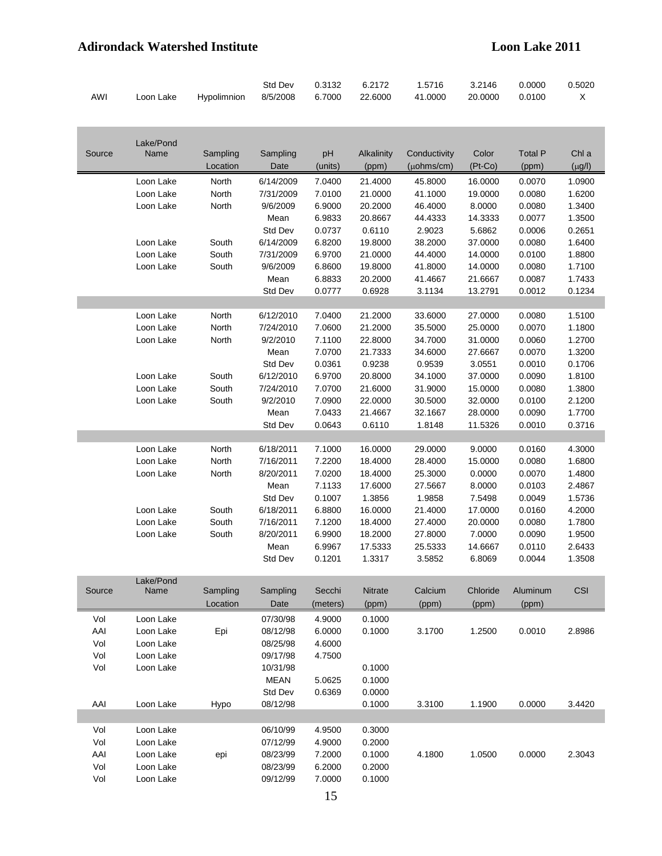|            |                        |             | Std Dev              | 0.3132           | 6.2172     | 1.5716             | 3.2146   | 0.0000         | 0.5020      |
|------------|------------------------|-------------|----------------------|------------------|------------|--------------------|----------|----------------|-------------|
| AWI        | Loon Lake              | Hypolimnion | 8/5/2008             | 6.7000           | 22.6000    | 41.0000            | 20.0000  | 0.0100         | X           |
|            |                        |             |                      |                  |            |                    |          |                |             |
|            |                        |             |                      |                  |            |                    |          |                |             |
|            | Lake/Pond              |             |                      |                  |            |                    |          |                |             |
| Source     | Name                   | Sampling    | Sampling             | pH               | Alkalinity | Conductivity       | Color    | <b>Total P</b> | Chl a       |
|            |                        | Location    | Date                 | (units)          | (ppm)      | $(\mu$ ohms/cm $)$ | (Pt-Co)  | (ppm)          | $(\mu g/l)$ |
|            | Loon Lake              | North       | 6/14/2009            | 7.0400           | 21.4000    | 45.8000            | 16.0000  | 0.0070         | 1.0900      |
|            | Loon Lake              | North       | 7/31/2009            | 7.0100           | 21.0000    | 41.1000            | 19.0000  | 0.0080         | 1.6200      |
|            | Loon Lake              | North       | 9/6/2009             | 6.9000           | 20.2000    | 46.4000            | 8.0000   | 0.0080         | 1.3400      |
|            |                        |             | Mean                 | 6.9833           | 20.8667    | 44.4333            | 14.3333  | 0.0077         | 1.3500      |
|            |                        |             | Std Dev              | 0.0737           | 0.6110     | 2.9023             | 5.6862   | 0.0006         | 0.2651      |
|            | Loon Lake              | South       | 6/14/2009            | 6.8200           | 19.8000    | 38.2000            | 37.0000  | 0.0080         | 1.6400      |
|            | Loon Lake              | South       | 7/31/2009            | 6.9700           | 21.0000    | 44.4000            | 14.0000  | 0.0100         | 1.8800      |
|            | Loon Lake              | South       | 9/6/2009             | 6.8600           | 19.8000    | 41.8000            | 14.0000  | 0.0080         | 1.7100      |
|            |                        |             | Mean                 | 6.8833           | 20.2000    | 41.4667            | 21.6667  | 0.0087         | 1.7433      |
|            |                        |             | Std Dev              | 0.0777           | 0.6928     | 3.1134             | 13.2791  | 0.0012         | 0.1234      |
|            |                        |             |                      |                  |            |                    |          |                |             |
|            | Loon Lake              | North       | 6/12/2010            | 7.0400           | 21.2000    | 33.6000            | 27.0000  | 0.0080         | 1.5100      |
|            | Loon Lake              | North       | 7/24/2010            | 7.0600           | 21.2000    | 35.5000            | 25.0000  | 0.0070         | 1.1800      |
|            | Loon Lake              | North       | 9/2/2010             | 7.1100           | 22.8000    | 34.7000            | 31.0000  | 0.0060         | 1.2700      |
|            |                        |             | Mean                 | 7.0700           | 21.7333    | 34.6000            | 27.6667  | 0.0070         | 1.3200      |
|            |                        |             | Std Dev              | 0.0361           | 0.9238     | 0.9539             | 3.0551   | 0.0010         | 0.1706      |
|            | Loon Lake              | South       | 6/12/2010            | 6.9700           | 20.8000    | 34.1000            | 37.0000  | 0.0090         | 1.8100      |
|            | Loon Lake              | South       | 7/24/2010            | 7.0700           | 21.6000    | 31.9000            | 15.0000  | 0.0080         | 1.3800      |
|            | Loon Lake              | South       | 9/2/2010             | 7.0900           | 22.0000    | 30.5000            | 32.0000  | 0.0100         | 2.1200      |
|            |                        |             | Mean                 | 7.0433           | 21.4667    | 32.1667            | 28.0000  | 0.0090         | 1.7700      |
|            |                        |             | Std Dev              | 0.0643           | 0.6110     | 1.8148             | 11.5326  | 0.0010         | 0.3716      |
|            | Loon Lake              | North       | 6/18/2011            | 7.1000           | 16.0000    | 29.0000            | 9.0000   | 0.0160         | 4.3000      |
|            | Loon Lake              | North       | 7/16/2011            | 7.2200           | 18.4000    | 28.4000            | 15.0000  | 0.0080         | 1.6800      |
|            | Loon Lake              | North       | 8/20/2011            | 7.0200           | 18.4000    | 25.3000            | 0.0000   | 0.0070         | 1.4800      |
|            |                        |             | Mean                 | 7.1133           | 17.6000    | 27.5667            | 8.0000   | 0.0103         | 2.4867      |
|            |                        |             | Std Dev              | 0.1007           | 1.3856     | 1.9858             | 7.5498   | 0.0049         | 1.5736      |
|            | Loon Lake              | South       | 6/18/2011            | 6.8800           | 16.0000    | 21.4000            | 17.0000  | 0.0160         | 4.2000      |
|            | Loon Lake              | South       | 7/16/2011            | 7.1200           | 18.4000    | 27.4000            | 20.0000  | 0.0080         | 1.7800      |
|            | Loon Lake              | South       | 8/20/2011            | 6.9900           | 18.2000    | 27.8000            | 7.0000   | 0.0090         | 1.9500      |
|            |                        |             | Mean                 | 6.9967           | 17.5333    | 25.5333            | 14.6667  | 0.0110         | 2.6433      |
|            |                        |             | Std Dev              | 0.1201           | 1.3317     | 3.5852             | 6.8069   | 0.0044         | 1.3508      |
|            |                        |             |                      |                  |            |                    |          |                |             |
|            | Lake/Pond              |             |                      |                  |            |                    |          |                |             |
| Source     | Name                   | Sampling    | Sampling             | Secchi           | Nitrate    | Calcium            | Chloride | Aluminum       | CSI         |
|            |                        | Location    | Date                 | (meters)         | (ppm)      | (ppm)              | (ppm)    | (ppm)          |             |
| Vol        | Loon Lake              |             | 07/30/98             | 4.9000           | 0.1000     |                    |          |                |             |
| AAI        | Loon Lake              | Epi         | 08/12/98             | 6.0000           | 0.1000     | 3.1700             | 1.2500   | 0.0010         | 2.8986      |
| Vol        | Loon Lake              |             | 08/25/98             | 4.6000           |            |                    |          |                |             |
| Vol        | Loon Lake              |             | 09/17/98             | 4.7500           |            |                    |          |                |             |
| Vol        | Loon Lake              |             | 10/31/98             |                  | 0.1000     |                    |          |                |             |
|            |                        |             | <b>MEAN</b>          | 5.0625           | 0.1000     |                    |          |                |             |
|            |                        |             | Std Dev              | 0.6369           | 0.0000     |                    |          |                |             |
| AAI        | Loon Lake              | Hypo        | 08/12/98             |                  | 0.1000     | 3.3100             | 1.1900   | 0.0000         | 3.4420      |
|            |                        |             |                      |                  |            |                    |          |                |             |
| Vol        | Loon Lake              |             | 06/10/99             | 4.9500           | 0.3000     |                    |          |                |             |
| Vol        | Loon Lake              |             | 07/12/99             | 4.9000           | 0.2000     |                    |          |                |             |
| AAI        | Loon Lake              | epi         | 08/23/99             | 7.2000           | 0.1000     | 4.1800             | 1.0500   | 0.0000         | 2.3043      |
| Vol<br>Vol | Loon Lake<br>Loon Lake |             | 08/23/99<br>09/12/99 | 6.2000<br>7.0000 | 0.2000     |                    |          |                |             |
|            |                        |             |                      |                  | 0.1000     |                    |          |                |             |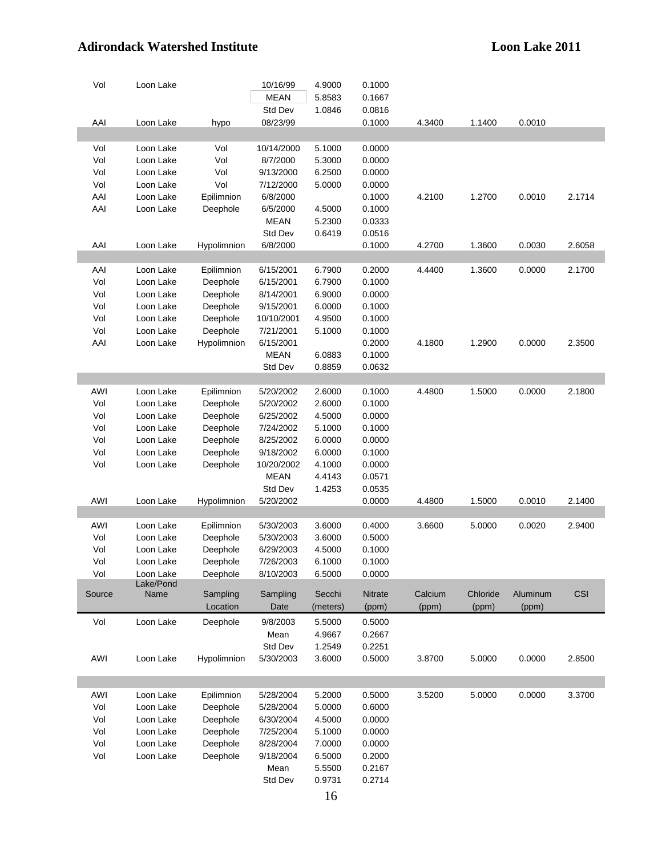| Vol    | Loon Lake |             | 10/16/99    | 4.9000   | 0.1000         |         |          |          |        |
|--------|-----------|-------------|-------------|----------|----------------|---------|----------|----------|--------|
|        |           |             | <b>MEAN</b> | 5.8583   | 0.1667         |         |          |          |        |
|        |           |             | Std Dev     | 1.0846   | 0.0816         |         |          |          |        |
| AAI    | Loon Lake | hypo        | 08/23/99    |          | 0.1000         | 4.3400  | 1.1400   | 0.0010   |        |
|        |           |             |             |          |                |         |          |          |        |
| Vol    | Loon Lake | Vol         | 10/14/2000  | 5.1000   | 0.0000         |         |          |          |        |
|        |           |             |             |          |                |         |          |          |        |
| Vol    | Loon Lake | Vol         | 8/7/2000    | 5.3000   | 0.0000         |         |          |          |        |
| Vol    | Loon Lake | Vol         | 9/13/2000   | 6.2500   | 0.0000         |         |          |          |        |
| Vol    | Loon Lake | Vol         | 7/12/2000   | 5.0000   | 0.0000         |         |          |          |        |
| AAI    | Loon Lake | Epilimnion  | 6/8/2000    |          | 0.1000         | 4.2100  | 1.2700   | 0.0010   | 2.1714 |
| AAI    | Loon Lake | Deephole    | 6/5/2000    | 4.5000   | 0.1000         |         |          |          |        |
|        |           |             | <b>MEAN</b> | 5.2300   | 0.0333         |         |          |          |        |
|        |           |             | Std Dev     | 0.6419   | 0.0516         |         |          |          |        |
| AAI    | Loon Lake | Hypolimnion | 6/8/2000    |          | 0.1000         | 4.2700  | 1.3600   | 0.0030   | 2.6058 |
|        |           |             |             |          |                |         |          |          |        |
| AAI    | Loon Lake | Epilimnion  | 6/15/2001   | 6.7900   | 0.2000         | 4.4400  | 1.3600   | 0.0000   | 2.1700 |
| Vol    | Loon Lake | Deephole    | 6/15/2001   | 6.7900   | 0.1000         |         |          |          |        |
| Vol    | Loon Lake | Deephole    | 8/14/2001   | 6.9000   | 0.0000         |         |          |          |        |
| Vol    | Loon Lake | Deephole    | 9/15/2001   | 6.0000   | 0.1000         |         |          |          |        |
| Vol    | Loon Lake | Deephole    | 10/10/2001  | 4.9500   | 0.1000         |         |          |          |        |
| Vol    | Loon Lake | Deephole    | 7/21/2001   | 5.1000   | 0.1000         |         |          |          |        |
| AAI    | Loon Lake | Hypolimnion | 6/15/2001   |          | 0.2000         | 4.1800  | 1.2900   | 0.0000   | 2.3500 |
|        |           |             | <b>MEAN</b> |          |                |         |          |          |        |
|        |           |             |             | 6.0883   | 0.1000         |         |          |          |        |
|        |           |             | Std Dev     | 0.8859   | 0.0632         |         |          |          |        |
|        |           |             |             |          |                |         |          |          |        |
| AWI    | Loon Lake | Epilimnion  | 5/20/2002   | 2.6000   | 0.1000         | 4.4800  | 1.5000   | 0.0000   | 2.1800 |
| Vol    | Loon Lake | Deephole    | 5/20/2002   | 2.6000   | 0.1000         |         |          |          |        |
| Vol    | Loon Lake | Deephole    | 6/25/2002   | 4.5000   | 0.0000         |         |          |          |        |
| Vol    | Loon Lake | Deephole    | 7/24/2002   | 5.1000   | 0.1000         |         |          |          |        |
| Vol    | Loon Lake | Deephole    | 8/25/2002   | 6.0000   | 0.0000         |         |          |          |        |
| Vol    | Loon Lake | Deephole    | 9/18/2002   | 6.0000   | 0.1000         |         |          |          |        |
| Vol    | Loon Lake | Deephole    | 10/20/2002  | 4.1000   | 0.0000         |         |          |          |        |
|        |           |             | <b>MEAN</b> | 4.4143   | 0.0571         |         |          |          |        |
|        |           |             | Std Dev     | 1.4253   | 0.0535         |         |          |          |        |
| AWI    | Loon Lake | Hypolimnion | 5/20/2002   |          | 0.0000         | 4.4800  | 1.5000   | 0.0010   | 2.1400 |
|        |           |             |             |          |                |         |          |          |        |
| AWI    | Loon Lake | Epilimnion  | 5/30/2003   | 3.6000   | 0.4000         | 3.6600  | 5.0000   | 0.0020   | 2.9400 |
| Vol    | Loon Lake | Deephole    | 5/30/2003   | 3.6000   | 0.5000         |         |          |          |        |
| Vol    | Loon Lake | Deephole    | 6/29/2003   | 4.5000   | 0.1000         |         |          |          |        |
| Vol    | Loon Lake | Deephole    | 7/26/2003   | 6.1000   | 0.1000         |         |          |          |        |
| Vol    | Loon Lake | Deephole    | 8/10/2003   | 6.5000   | 0.0000         |         |          |          |        |
|        | Lake/Pond |             |             |          |                |         |          |          |        |
| Source | Name      | Sampling    | Sampling    | Secchi   | <b>Nitrate</b> | Calcium | Chloride | Aluminum | CSI    |
|        |           | Location    | Date        | (meters) | (ppm)          | (ppm)   | (ppm)    | (ppm)    |        |
| Vol    | Loon Lake | Deephole    | 9/8/2003    | 5.5000   | 0.5000         |         |          |          |        |
|        |           |             | Mean        | 4.9667   | 0.2667         |         |          |          |        |
|        |           |             | Std Dev     | 1.2549   | 0.2251         |         |          |          |        |
|        |           |             |             |          |                |         |          |          |        |
| AWI    | Loon Lake | Hypolimnion | 5/30/2003   | 3.6000   | 0.5000         | 3.8700  | 5.0000   | 0.0000   | 2.8500 |
|        |           |             |             |          |                |         |          |          |        |
|        |           |             |             |          |                |         | 5.0000   |          |        |
| AWI    | Loon Lake | Epilimnion  | 5/28/2004   | 5.2000   | 0.5000         | 3.5200  |          | 0.0000   | 3.3700 |
| Vol    | Loon Lake | Deephole    | 5/28/2004   | 5.0000   | 0.6000         |         |          |          |        |
| Vol    | Loon Lake | Deephole    | 6/30/2004   | 4.5000   | 0.0000         |         |          |          |        |
| Vol    | Loon Lake | Deephole    | 7/25/2004   | 5.1000   | 0.0000         |         |          |          |        |
| Vol    | Loon Lake | Deephole    | 8/28/2004   | 7.0000   | 0.0000         |         |          |          |        |
| Vol    | Loon Lake | Deephole    | 9/18/2004   | 6.5000   | 0.2000         |         |          |          |        |
|        |           |             | Mean        | 5.5500   | 0.2167         |         |          |          |        |
|        |           |             | Std Dev     | 0.9731   | 0.2714         |         |          |          |        |
|        |           |             |             |          |                |         |          |          |        |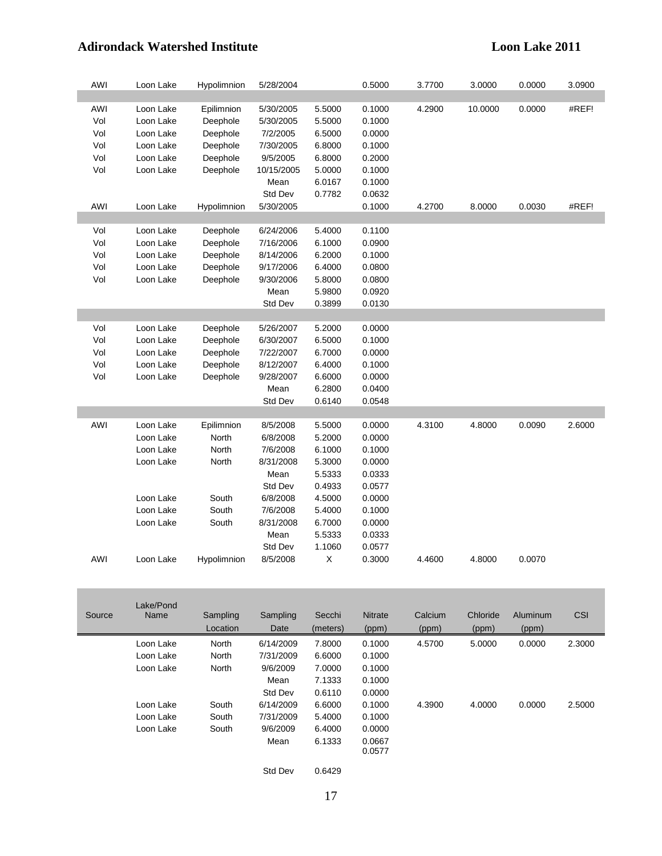| AWI    | Loon Lake | Hypolimnion | 5/28/2004              |                  | 0.5000           | 3.7700  | 3.0000   | 0.0000   | 3.0900 |
|--------|-----------|-------------|------------------------|------------------|------------------|---------|----------|----------|--------|
|        |           |             |                        |                  |                  |         |          |          |        |
| AWI    | Loon Lake | Epilimnion  | 5/30/2005              | 5.5000           | 0.1000           | 4.2900  | 10.0000  | 0.0000   | #REF!  |
| Vol    | Loon Lake | Deephole    | 5/30/2005              | 5.5000           | 0.1000           |         |          |          |        |
| Vol    | Loon Lake | Deephole    | 7/2/2005               | 6.5000           | 0.0000           |         |          |          |        |
| Vol    | Loon Lake | Deephole    | 7/30/2005              | 6.8000           | 0.1000           |         |          |          |        |
| Vol    | Loon Lake | Deephole    | 9/5/2005               | 6.8000           | 0.2000           |         |          |          |        |
| Vol    | Loon Lake | Deephole    | 10/15/2005             | 5.0000           | 0.1000           |         |          |          |        |
|        |           |             | Mean<br>Std Dev        | 6.0167<br>0.7782 | 0.1000<br>0.0632 |         |          |          |        |
| AWI    | Loon Lake | Hypolimnion | 5/30/2005              |                  | 0.1000           | 4.2700  | 8.0000   | 0.0030   | #REF!  |
|        |           |             |                        |                  |                  |         |          |          |        |
| Vol    | Loon Lake | Deephole    | 6/24/2006              | 5.4000           | 0.1100           |         |          |          |        |
| Vol    | Loon Lake | Deephole    | 7/16/2006              | 6.1000           | 0.0900           |         |          |          |        |
| Vol    | Loon Lake | Deephole    | 8/14/2006              | 6.2000           | 0.1000           |         |          |          |        |
| Vol    | Loon Lake | Deephole    | 9/17/2006              | 6.4000           | 0.0800           |         |          |          |        |
| Vol    | Loon Lake | Deephole    | 9/30/2006              | 5.8000           | 0.0800           |         |          |          |        |
|        |           |             | Mean                   | 5.9800           | 0.0920           |         |          |          |        |
|        |           |             | Std Dev                | 0.3899           | 0.0130           |         |          |          |        |
|        |           |             |                        |                  |                  |         |          |          |        |
| Vol    | Loon Lake | Deephole    | 5/26/2007              | 5.2000           | 0.0000           |         |          |          |        |
| Vol    | Loon Lake | Deephole    | 6/30/2007              | 6.5000           | 0.1000           |         |          |          |        |
| Vol    | Loon Lake | Deephole    | 7/22/2007              | 6.7000           | 0.0000<br>0.1000 |         |          |          |        |
| Vol    | Loon Lake | Deephole    | 8/12/2007<br>9/28/2007 | 6.4000           |                  |         |          |          |        |
| Vol    | Loon Lake | Deephole    | Mean                   | 6.6000<br>6.2800 | 0.0000<br>0.0400 |         |          |          |        |
|        |           |             | Std Dev                | 0.6140           | 0.0548           |         |          |          |        |
|        |           |             |                        |                  |                  |         |          |          |        |
| AWI    | Loon Lake | Epilimnion  | 8/5/2008               | 5.5000           | 0.0000           | 4.3100  | 4.8000   | 0.0090   | 2.6000 |
|        | Loon Lake | North       | 6/8/2008               | 5.2000           | 0.0000           |         |          |          |        |
|        | Loon Lake | North       | 7/6/2008               | 6.1000           | 0.1000           |         |          |          |        |
|        | Loon Lake | North       | 8/31/2008              | 5.3000           | 0.0000           |         |          |          |        |
|        |           |             | Mean                   | 5.5333           | 0.0333           |         |          |          |        |
|        |           |             | Std Dev                | 0.4933           | 0.0577           |         |          |          |        |
|        | Loon Lake | South       | 6/8/2008               | 4.5000           | 0.0000           |         |          |          |        |
|        | Loon Lake | South       | 7/6/2008               | 5.4000           | 0.1000           |         |          |          |        |
|        | Loon Lake | South       | 8/31/2008              | 6.7000           | 0.0000           |         |          |          |        |
|        |           |             | Mean                   | 5.5333           | 0.0333           |         |          |          |        |
|        |           |             | Std Dev                | 1.1060           | 0.0577           |         |          |          |        |
| AWI    | Loon Lake | Hypolimnion | 8/5/2008               | Х                | 0.3000           | 4.4600  | 4.8000   | 0.0070   |        |
|        |           |             |                        |                  |                  |         |          |          |        |
|        |           |             |                        |                  |                  |         |          |          |        |
|        | Lake/Pond |             |                        |                  |                  |         |          |          |        |
| Source | Name      | Sampling    | Sampling               | Secchi           | Nitrate          | Calcium | Chloride | Aluminum | CSI    |
|        |           | Location    | Date                   | (meters)         | (ppm)            | (ppm)   | (ppm)    | (ppm)    |        |
|        | Loon Lake | North       | 6/14/2009              | 7.8000           | 0.1000           | 4.5700  | 5.0000   | 0.0000   | 2.3000 |
|        | Loon Lake | North       | 7/31/2009              | 6.6000           | 0.1000           |         |          |          |        |
|        | Loon Lake | North       | 9/6/2009               | 7.0000           | 0.1000           |         |          |          |        |
|        |           |             | Mean                   | 7.1333           | 0.1000           |         |          |          |        |
|        |           |             | Std Dev                | 0.6110           | 0.0000           |         |          |          |        |
|        | Loon Lake | South       | 6/14/2009              | 6.6000           | 0.1000           | 4.3900  | 4.0000   | 0.0000   | 2.5000 |
|        | Loon Lake | South       | 7/31/2009              | 5.4000           | 0.1000           |         |          |          |        |
|        | Loon Lake | South       | 9/6/2009               | 6.4000           | 0.0000           |         |          |          |        |
|        |           |             | Mean                   | 6.1333           | 0.0667           |         |          |          |        |
|        |           |             |                        |                  | 0.0577           |         |          |          |        |
|        |           |             | Std Dev                | 0.6429           |                  |         |          |          |        |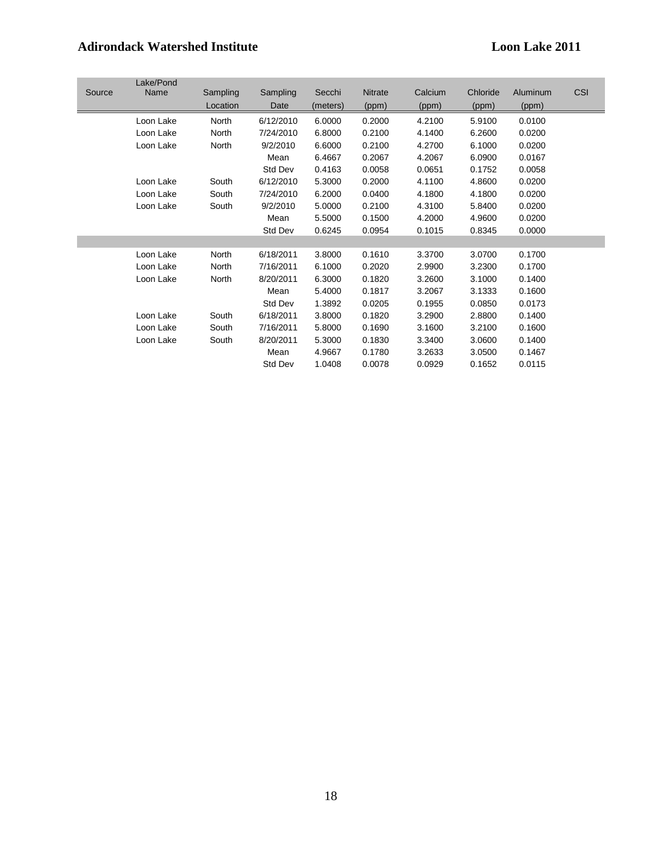|        | Lake/Pond |          |           |          |                |         |          |          |            |
|--------|-----------|----------|-----------|----------|----------------|---------|----------|----------|------------|
| Source | Name      | Sampling | Sampling  | Secchi   | <b>Nitrate</b> | Calcium | Chloride | Aluminum | <b>CSI</b> |
|        |           | Location | Date      | (meters) | (ppm)          | (ppm)   | (ppm)    | (ppm)    |            |
|        | Loon Lake | North    | 6/12/2010 | 6.0000   | 0.2000         | 4.2100  | 5.9100   | 0.0100   |            |
|        | Loon Lake | North    | 7/24/2010 | 6.8000   | 0.2100         | 4.1400  | 6.2600   | 0.0200   |            |
|        | Loon Lake | North    | 9/2/2010  | 6.6000   | 0.2100         | 4.2700  | 6.1000   | 0.0200   |            |
|        |           |          | Mean      | 6.4667   | 0.2067         | 4.2067  | 6.0900   | 0.0167   |            |
|        |           |          | Std Dev   | 0.4163   | 0.0058         | 0.0651  | 0.1752   | 0.0058   |            |
|        | Loon Lake | South    | 6/12/2010 | 5.3000   | 0.2000         | 4.1100  | 4.8600   | 0.0200   |            |
|        | Loon Lake | South    | 7/24/2010 | 6.2000   | 0.0400         | 4.1800  | 4.1800   | 0.0200   |            |
|        | Loon Lake | South    | 9/2/2010  | 5.0000   | 0.2100         | 4.3100  | 5.8400   | 0.0200   |            |
|        |           |          | Mean      | 5.5000   | 0.1500         | 4.2000  | 4.9600   | 0.0200   |            |
|        |           |          | Std Dev   | 0.6245   | 0.0954         | 0.1015  | 0.8345   | 0.0000   |            |
|        |           |          |           |          |                |         |          |          |            |
|        | Loon Lake | North    | 6/18/2011 | 3.8000   | 0.1610         | 3.3700  | 3.0700   | 0.1700   |            |
|        | Loon Lake | North    | 7/16/2011 | 6.1000   | 0.2020         | 2.9900  | 3.2300   | 0.1700   |            |
|        | Loon Lake | North    | 8/20/2011 | 6.3000   | 0.1820         | 3.2600  | 3.1000   | 0.1400   |            |
|        |           |          | Mean      | 5.4000   | 0.1817         | 3.2067  | 3.1333   | 0.1600   |            |
|        |           |          | Std Dev   | 1.3892   | 0.0205         | 0.1955  | 0.0850   | 0.0173   |            |
|        | Loon Lake | South    | 6/18/2011 | 3.8000   | 0.1820         | 3.2900  | 2.8800   | 0.1400   |            |
|        | Loon Lake | South    | 7/16/2011 | 5.8000   | 0.1690         | 3.1600  | 3.2100   | 0.1600   |            |
|        | Loon Lake | South    | 8/20/2011 | 5.3000   | 0.1830         | 3.3400  | 3.0600   | 0.1400   |            |
|        |           |          | Mean      | 4.9667   | 0.1780         | 3.2633  | 3.0500   | 0.1467   |            |
|        |           |          | Std Dev   | 1.0408   | 0.0078         | 0.0929  | 0.1652   | 0.0115   |            |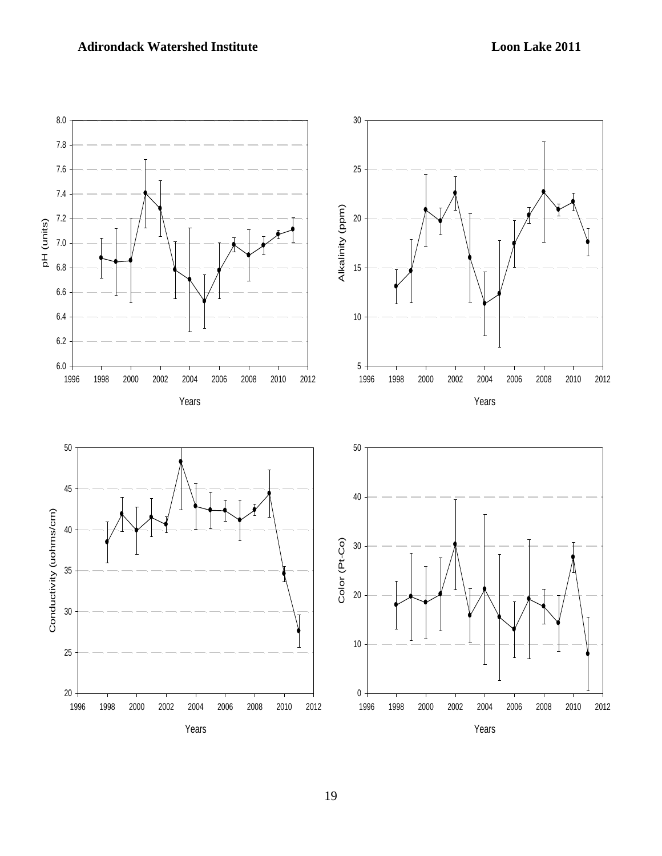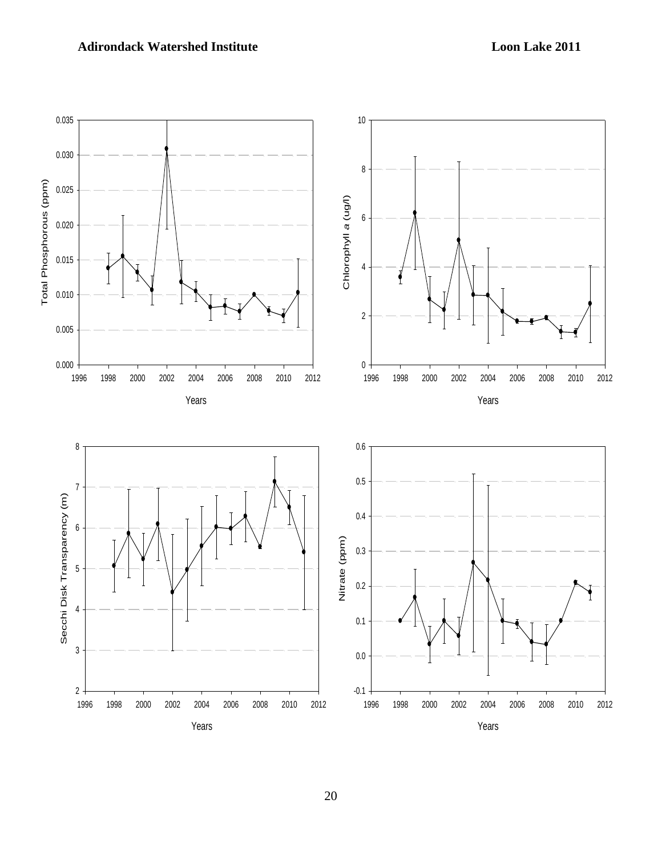